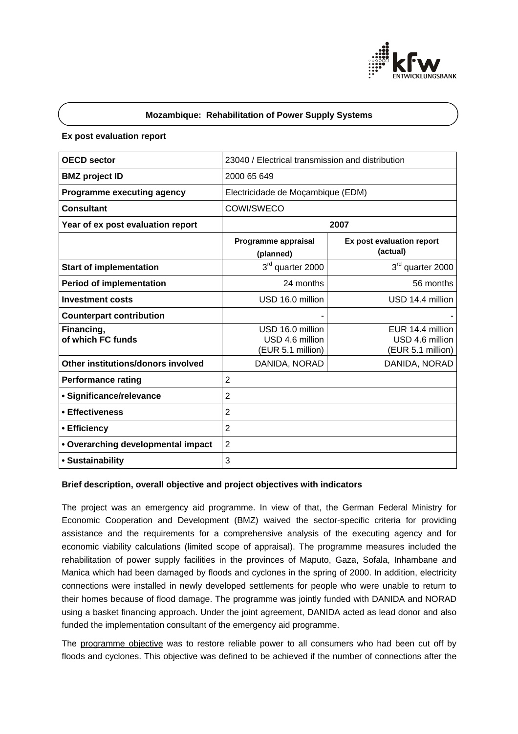

# **Mozambique: Rehabilitation of Power Supply Systems**

## **Ex post evaluation report**

| <b>OECD sector</b>                 | 23040 / Electrical transmission and distribution         |                                                          |
|------------------------------------|----------------------------------------------------------|----------------------------------------------------------|
| <b>BMZ</b> project ID              | 2000 65 649                                              |                                                          |
| <b>Programme executing agency</b>  | Electricidade de Moçambique (EDM)                        |                                                          |
| <b>Consultant</b>                  | COWI/SWECO                                               |                                                          |
| Year of ex post evaluation report  | 2007                                                     |                                                          |
|                                    | Programme appraisal<br>(planned)                         | Ex post evaluation report<br>(actual)                    |
| <b>Start of implementation</b>     | 3rd quarter 2000                                         | 3rd quarter 2000                                         |
| <b>Period of implementation</b>    | 24 months                                                | 56 months                                                |
| <b>Investment costs</b>            | USD 16.0 million                                         | USD 14.4 million                                         |
| <b>Counterpart contribution</b>    |                                                          |                                                          |
| Financing,<br>of which FC funds    | USD 16.0 million<br>USD 4.6 million<br>(EUR 5.1 million) | EUR 14.4 million<br>USD 4.6 million<br>(EUR 5.1 million) |
| Other institutions/donors involved | DANIDA, NORAD                                            | DANIDA, NORAD                                            |
| <b>Performance rating</b>          | $\overline{2}$                                           |                                                          |
| · Significance/relevance           | $\overline{2}$                                           |                                                          |
| • Effectiveness                    | $\overline{2}$                                           |                                                          |
| • Efficiency                       | $\overline{2}$                                           |                                                          |
| • Overarching developmental impact | $\overline{2}$                                           |                                                          |
| • Sustainability                   | 3                                                        |                                                          |

## **Brief description, overall objective and project objectives with indicators**

The project was an emergency aid programme. In view of that, the German Federal Ministry for Economic Cooperation and Development (BMZ) waived the sector-specific criteria for providing assistance and the requirements for a comprehensive analysis of the executing agency and for economic viability calculations (limited scope of appraisal). The programme measures included the rehabilitation of power supply facilities in the provinces of Maputo, Gaza, Sofala, Inhambane and Manica which had been damaged by floods and cyclones in the spring of 2000. In addition, electricity connections were installed in newly developed settlements for people who were unable to return to their homes because of flood damage. The programme was jointly funded with DANIDA and NORAD using a basket financing approach. Under the joint agreement, DANIDA acted as lead donor and also funded the implementation consultant of the emergency aid programme.

The programme objective was to restore reliable power to all consumers who had been cut off by floods and cyclones. This objective was defined to be achieved if the number of connections after the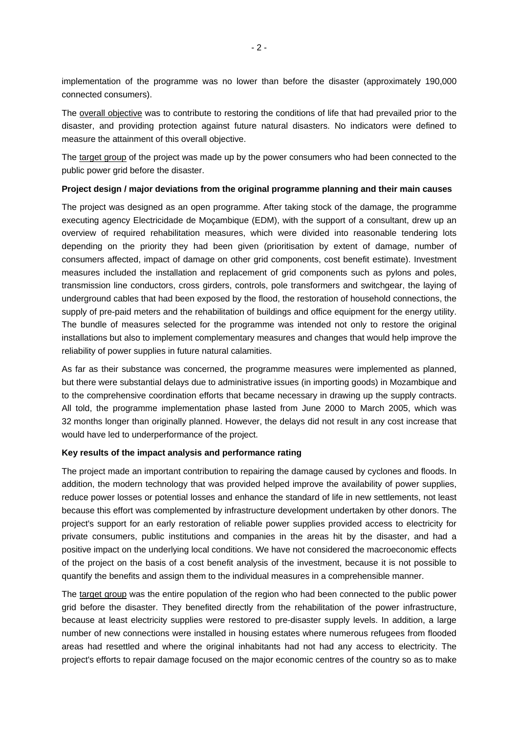implementation of the programme was no lower than before the disaster (approximately 190,000 connected consumers).

The overall objective was to contribute to restoring the conditions of life that had prevailed prior to the disaster, and providing protection against future natural disasters. No indicators were defined to measure the attainment of this overall objective.

The target group of the project was made up by the power consumers who had been connected to the public power grid before the disaster.

## **Project design / major deviations from the original programme planning and their main causes**

The project was designed as an open programme. After taking stock of the damage, the programme executing agency Electricidade de Moçambique (EDM), with the support of a consultant, drew up an overview of required rehabilitation measures, which were divided into reasonable tendering lots depending on the priority they had been given (prioritisation by extent of damage, number of consumers affected, impact of damage on other grid components, cost benefit estimate). Investment measures included the installation and replacement of grid components such as pylons and poles, transmission line conductors, cross girders, controls, pole transformers and switchgear, the laying of underground cables that had been exposed by the flood, the restoration of household connections, the supply of pre-paid meters and the rehabilitation of buildings and office equipment for the energy utility. The bundle of measures selected for the programme was intended not only to restore the original installations but also to implement complementary measures and changes that would help improve the reliability of power supplies in future natural calamities.

As far as their substance was concerned, the programme measures were implemented as planned, but there were substantial delays due to administrative issues (in importing goods) in Mozambique and to the comprehensive coordination efforts that became necessary in drawing up the supply contracts. All told, the programme implementation phase lasted from June 2000 to March 2005, which was 32 months longer than originally planned. However, the delays did not result in any cost increase that would have led to underperformance of the project.

# **Key results of the impact analysis and performance rating**

The project made an important contribution to repairing the damage caused by cyclones and floods. In addition, the modern technology that was provided helped improve the availability of power supplies, reduce power losses or potential losses and enhance the standard of life in new settlements, not least because this effort was complemented by infrastructure development undertaken by other donors. The project's support for an early restoration of reliable power supplies provided access to electricity for private consumers, public institutions and companies in the areas hit by the disaster, and had a positive impact on the underlying local conditions. We have not considered the macroeconomic effects of the project on the basis of a cost benefit analysis of the investment, because it is not possible to quantify the benefits and assign them to the individual measures in a comprehensible manner.

The target group was the entire population of the region who had been connected to the public power grid before the disaster. They benefited directly from the rehabilitation of the power infrastructure, because at least electricity supplies were restored to pre-disaster supply levels. In addition, a large number of new connections were installed in housing estates where numerous refugees from flooded areas had resettled and where the original inhabitants had not had any access to electricity. The project's efforts to repair damage focused on the major economic centres of the country so as to make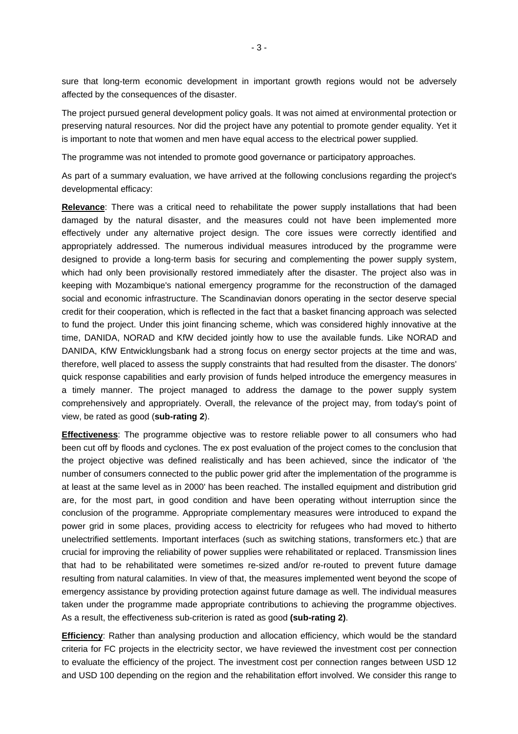sure that long-term economic development in important growth regions would not be adversely affected by the consequences of the disaster.

The project pursued general development policy goals. It was not aimed at environmental protection or preserving natural resources. Nor did the project have any potential to promote gender equality. Yet it is important to note that women and men have equal access to the electrical power supplied.

The programme was not intended to promote good governance or participatory approaches.

As part of a summary evaluation, we have arrived at the following conclusions regarding the project's developmental efficacy:

**Relevance**: There was a critical need to rehabilitate the power supply installations that had been damaged by the natural disaster, and the measures could not have been implemented more effectively under any alternative project design. The core issues were correctly identified and appropriately addressed. The numerous individual measures introduced by the programme were designed to provide a long-term basis for securing and complementing the power supply system, which had only been provisionally restored immediately after the disaster. The project also was in keeping with Mozambique's national emergency programme for the reconstruction of the damaged social and economic infrastructure. The Scandinavian donors operating in the sector deserve special credit for their cooperation, which is reflected in the fact that a basket financing approach was selected to fund the project. Under this joint financing scheme, which was considered highly innovative at the time, DANIDA, NORAD and KfW decided jointly how to use the available funds. Like NORAD and DANIDA, KfW Entwicklungsbank had a strong focus on energy sector projects at the time and was, therefore, well placed to assess the supply constraints that had resulted from the disaster. The donors' quick response capabilities and early provision of funds helped introduce the emergency measures in a timely manner. The project managed to address the damage to the power supply system comprehensively and appropriately. Overall, the relevance of the project may, from today's point of view, be rated as good (**sub-rating 2**).

**Effectiveness**: The programme objective was to restore reliable power to all consumers who had been cut off by floods and cyclones. The ex post evaluation of the project comes to the conclusion that the project objective was defined realistically and has been achieved, since the indicator of 'the number of consumers connected to the public power grid after the implementation of the programme is at least at the same level as in 2000' has been reached. The installed equipment and distribution grid are, for the most part, in good condition and have been operating without interruption since the conclusion of the programme. Appropriate complementary measures were introduced to expand the power grid in some places, providing access to electricity for refugees who had moved to hitherto unelectrified settlements. Important interfaces (such as switching stations, transformers etc.) that are crucial for improving the reliability of power supplies were rehabilitated or replaced. Transmission lines that had to be rehabilitated were sometimes re-sized and/or re-routed to prevent future damage resulting from natural calamities. In view of that, the measures implemented went beyond the scope of emergency assistance by providing protection against future damage as well. The individual measures taken under the programme made appropriate contributions to achieving the programme objectives. As a result, the effectiveness sub-criterion is rated as good **(sub-rating 2)**.

**Efficiency**: Rather than analysing production and allocation efficiency, which would be the standard criteria for FC projects in the electricity sector, we have reviewed the investment cost per connection to evaluate the efficiency of the project. The investment cost per connection ranges between USD 12 and USD 100 depending on the region and the rehabilitation effort involved. We consider this range to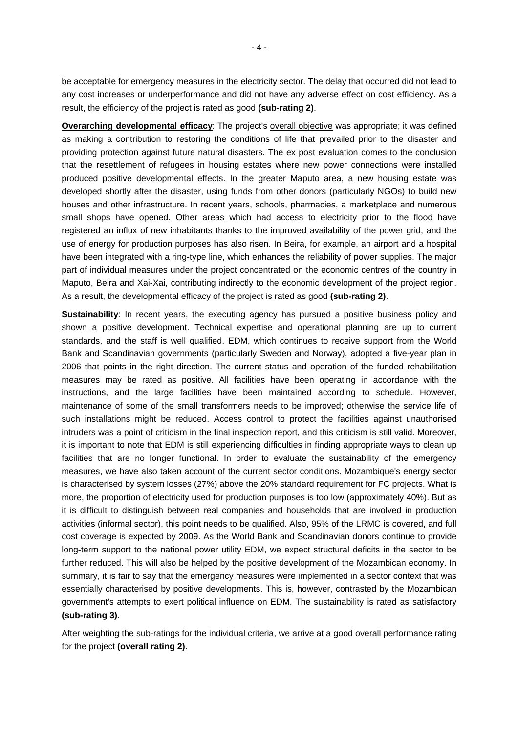be acceptable for emergency measures in the electricity sector. The delay that occurred did not lead to any cost increases or underperformance and did not have any adverse effect on cost efficiency. As a result, the efficiency of the project is rated as good **(sub-rating 2)**.

**Overarching developmental efficacy**: The project's overall objective was appropriate; it was defined as making a contribution to restoring the conditions of life that prevailed prior to the disaster and providing protection against future natural disasters. The ex post evaluation comes to the conclusion that the resettlement of refugees in housing estates where new power connections were installed produced positive developmental effects. In the greater Maputo area, a new housing estate was developed shortly after the disaster, using funds from other donors (particularly NGOs) to build new houses and other infrastructure. In recent years, schools, pharmacies, a marketplace and numerous small shops have opened. Other areas which had access to electricity prior to the flood have registered an influx of new inhabitants thanks to the improved availability of the power grid, and the use of energy for production purposes has also risen. In Beira, for example, an airport and a hospital have been integrated with a ring-type line, which enhances the reliability of power supplies. The major part of individual measures under the project concentrated on the economic centres of the country in Maputo, Beira and Xai-Xai, contributing indirectly to the economic development of the project region. As a result, the developmental efficacy of the project is rated as good **(sub-rating 2)**.

**Sustainability**: In recent years, the executing agency has pursued a positive business policy and shown a positive development. Technical expertise and operational planning are up to current standards, and the staff is well qualified. EDM, which continues to receive support from the World Bank and Scandinavian governments (particularly Sweden and Norway), adopted a five-year plan in 2006 that points in the right direction. The current status and operation of the funded rehabilitation measures may be rated as positive. All facilities have been operating in accordance with the instructions, and the large facilities have been maintained according to schedule. However, maintenance of some of the small transformers needs to be improved; otherwise the service life of such installations might be reduced. Access control to protect the facilities against unauthorised intruders was a point of criticism in the final inspection report, and this criticism is still valid. Moreover, it is important to note that EDM is still experiencing difficulties in finding appropriate ways to clean up facilities that are no longer functional. In order to evaluate the sustainability of the emergency measures, we have also taken account of the current sector conditions. Mozambique's energy sector is characterised by system losses (27%) above the 20% standard requirement for FC projects. What is more, the proportion of electricity used for production purposes is too low (approximately 40%). But as it is difficult to distinguish between real companies and households that are involved in production activities (informal sector), this point needs to be qualified. Also, 95% of the LRMC is covered, and full cost coverage is expected by 2009. As the World Bank and Scandinavian donors continue to provide long-term support to the national power utility EDM, we expect structural deficits in the sector to be further reduced. This will also be helped by the positive development of the Mozambican economy. In summary, it is fair to say that the emergency measures were implemented in a sector context that was essentially characterised by positive developments. This is, however, contrasted by the Mozambican government's attempts to exert political influence on EDM. The sustainability is rated as satisfactory **(sub-rating 3)**.

After weighting the sub-ratings for the individual criteria, we arrive at a good overall performance rating for the project **(overall rating 2)**.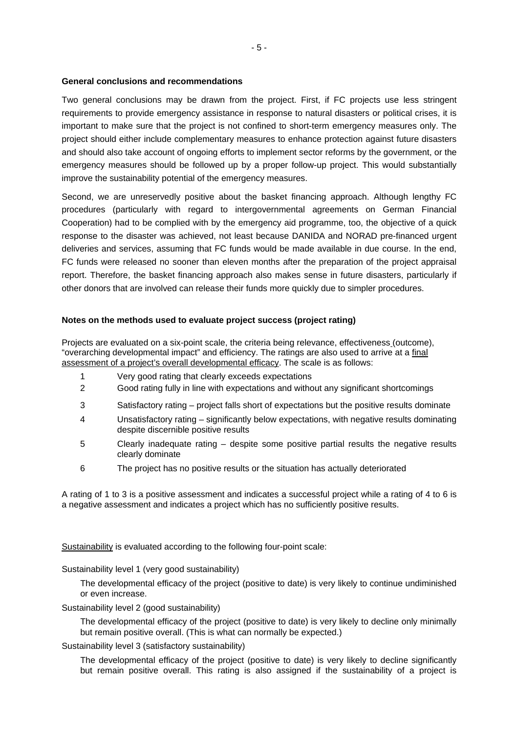#### **General conclusions and recommendations**

Two general conclusions may be drawn from the project. First, if FC projects use less stringent requirements to provide emergency assistance in response to natural disasters or political crises, it is important to make sure that the project is not confined to short-term emergency measures only. The project should either include complementary measures to enhance protection against future disasters and should also take account of ongoing efforts to implement sector reforms by the government, or the emergency measures should be followed up by a proper follow-up project. This would substantially improve the sustainability potential of the emergency measures.

Second, we are unreservedly positive about the basket financing approach. Although lengthy FC procedures (particularly with regard to intergovernmental agreements on German Financial Cooperation) had to be complied with by the emergency aid programme, too, the objective of a quick response to the disaster was achieved, not least because DANIDA and NORAD pre-financed urgent deliveries and services, assuming that FC funds would be made available in due course. In the end, FC funds were released no sooner than eleven months after the preparation of the project appraisal report. Therefore, the basket financing approach also makes sense in future disasters, particularly if other donors that are involved can release their funds more quickly due to simpler procedures.

## **Notes on the methods used to evaluate project success (project rating)**

Projects are evaluated on a six-point scale, the criteria being relevance, effectiveness (outcome), "overarching developmental impact" and efficiency. The ratings are also used to arrive at a final assessment of a project's overall developmental efficacy. The scale is as follows:

- 1 Very good rating that clearly exceeds expectations
- 2 Good rating fully in line with expectations and without any significant shortcomings
- 3 Satisfactory rating project falls short of expectations but the positive results dominate
- 4 Unsatisfactory rating significantly below expectations, with negative results dominating despite discernible positive results
- 5 Clearly inadequate rating despite some positive partial results the negative results clearly dominate
- 6 The project has no positive results or the situation has actually deteriorated

A rating of 1 to 3 is a positive assessment and indicates a successful project while a rating of 4 to 6 is a negative assessment and indicates a project which has no sufficiently positive results.

Sustainability is evaluated according to the following four-point scale:

Sustainability level 1 (very good sustainability)

The developmental efficacy of the project (positive to date) is very likely to continue undiminished or even increase.

Sustainability level 2 (good sustainability)

The developmental efficacy of the project (positive to date) is very likely to decline only minimally but remain positive overall. (This is what can normally be expected.)

Sustainability level 3 (satisfactory sustainability)

The developmental efficacy of the project (positive to date) is very likely to decline significantly but remain positive overall. This rating is also assigned if the sustainability of a project is